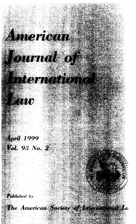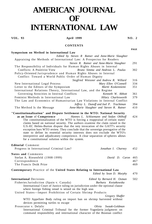## **AMERICAN JOURNAL OF INTERNATIONAL LAW**

**VOL. 93 April 1999 NO. 2** 

**PAGE** 

## **CONTENTS**

**Symposium on Method in International Law**  *Edited by Steven R Ratner and Anne-Marie Slaughter*  Appraising the Methods of International Law: A Prospectus for Readers *Steven R. Ratner and Anne-Marie Slaughter* 291 The Responsibility of Individuals for Human Rights Abuses in Internal Conflicts: A Positivist View *Bruno Simma and Andreas L. Paulus* 302 Policy-Oriented Jurisprudence and Human Rights Abuses in Internal Conflict: Toward a World Public Order of Human Dignity *Siegfried Wiessner and Andrew R. Willard* 316 New International Legal Process *Mary Ellen O'Connell* 334 Letter to the Editors of the Symposium Martti Koskenniemi International Relations Theory, International Law, and the Regime Governing Atrocities in Internal Conflicts *Kenneth W. Abbott* 361 Feminist Methods in International Law *Hilary Charlesworth* 379 The Law and Economics of Humanitarian Law Violations in Internal Conflict *Jeffrey L. Dunoff and Joel P. Trachtman* 394 The Method Is the Message *Anne-Marie Slaughter and Steven R. Ratner* 410 **"Constitutionalization" and Dispute Settlement in the WTO: National Security as an Issue** of **Competence** *Hannes L. Schloemann and Stefan Ohlhoff* 424 The constitutionalization of the WTO is forcing a reappraisal of certain states' claims based on national security. The authors examine the claim raised in the U.S.-EC Helms-Burton dispute that the very invocation of the GATT's security exception bars WTO review. They conclude that the sovereign prerogative of the state to define its essential security interests does not exclude the WTO's interpretive and adjudicatory competence. A clear separation of spheres allows for a constitutional solution within the system. **Editorial** Comment Progress in International Criminal Law? *Jonathan I. Charney* 452 **Notes and** Comments Stefan A. Riesenfeld (1908-1999) *David D. Caron* 465 Correspondence 467 The Francis Deák Prize 469 **Contemporary** Practice of the **United States Relating to International Law**  *Edited by Sean D. Murphy* 470 **International** Decisions *Edited by Bernard H. Oxman* 502 Fisheries Jurisdiction (Spain v. Canada) *Barbara Kwiatkowska*  International Court of Justice ruling on jurisdiction under the optional clause where foreign fishing vessel is seized on the high seas United States—Import Prohibition of Certain Shrimp Products *Gregory Shaffer*  WTO Appellate Body ruling on import ban on shrimp harvested without devices permitting turtles to escape Prosecutor v. Delalic *Olivia Swaak-Goldman*  International Criminal Tribunal for the former Yugoslavia judgment on

command responsibility and international character of the Bosnian conflict